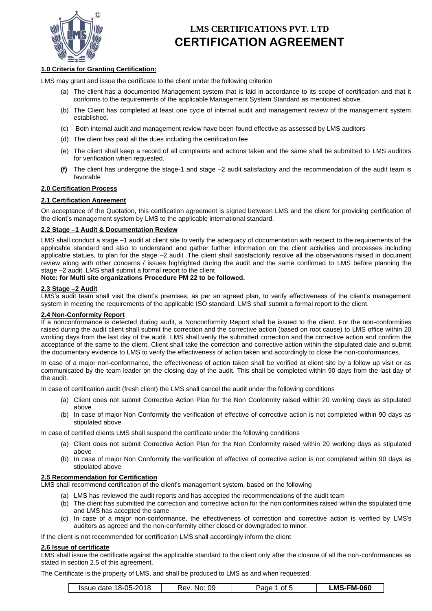

## **1.0 Criteria for Granting Certification:**

LMS may grant and issue the certificate to the client under the following criterion

- (a) The client has a documented Management system that is laid in accordance to its scope of certification and that it conforms to the requirements of the applicable Management System Standard as mentioned above.
- (b) The Client has completed at least one cycle of internal audit and management review of the management system established.
- (c) Both internal audit and management review have been found effective as assessed by LMS auditors
- (d) The client has paid all the dues including the certification fee
- (e) The client shall keep a record of all complaints and actions taken and the same shall be submitted to LMS auditors for verification when requested.
- **(f)** The client has undergone the stage-1 and stage –2 audit satisfactory and the recommendation of the audit team is favorable

### **2.0 Certification Process**

### **2.1 Certification Agreement**

On acceptance of the Quotation, this certification agreement is signed between LMS and the client for providing certification of the client's management system by LMS to the applicable international standard.

#### **2.2 Stage –1 Audit & Documentation Review**

LMS shall conduct a stage –1 audit at client site to verify the adequacy of documentation with respect to the requirements of the applicable standard and also to understand and gather further information on the client activities and processes including applicable statues, to plan for the stage –2 audit .The client shall satisfactorily resolve all the observations raised in document review along with other concerns / issues highlighted during the audit and the same confirmed to LMS before planning the stage –2 audit .LMS shall submit a formal report to the client

### **Note: for Multi site organizations Procedure PM 22 to be followed.**

### **2.3 Stage -2 Audi**

LMS's audit team shall visit the client's premises, as per an agreed plan, to verify effectiveness of the client's management system in meeting the requirements of the applicable ISO standard. LMS shall submit a formal report to the client.

#### **2.4 Non-Conformity Report**

If a nonconformance is detected during audit, a Nonconformity Report shall be issued to the client. For the non-conformities raised during the audit client shall submit the correction and the corrective action (based on root cause) to LMS office within 20 working days from the last day of the audit. LMS shall verify the submitted correction and the corrective action and confirm the acceptance of the same to the client. Client shall take the correction and corrective action within the stipulated date and submit the documentary evidence to LMS to verify the effectiveness of action taken and accordingly to close the non-conformances.

In case of a major non-conformance, the effectiveness of action taken shall be verified at client site by a follow up visit or as communicated by the team leader on the closing day of the audit. This shall be completed within 90 days from the last day of the audit.

In case of certification audit (fresh client) the LMS shall cancel the audit under the following conditions

- (a) Client does not submit Corrective Action Plan for the Non Conformity raised within 20 working days as stipulated above
- (b) In case of major Non Conformity the verification of effective of corrective action is not completed within 90 days as stipulated above

In case of certified clients LMS shall suspend the certificate under the following conditions

- (a) Client does not submit Corrective Action Plan for the Non Conformity raised within 20 working days as stipulated above
- (b) In case of major Non Conformity the verification of effective of corrective action is not completed within 90 days as stipulated above

#### **2.5 Recommendation for Certification**

LMS shall recommend certification of the client's management system, based on the following

- (a) LMS has reviewed the audit reports and has accepted the recommendations of the audit team
- (b) The client has submitted the correction and corrective action for the non conformities raised within the stipulated time and LMS has accepted the same
- (c) In case of a major non-conformance, the effectiveness of correction and corrective action is verified by LMS's auditors as agreed and the non-conformity either closed or downgraded to minor.

If the client is not recommended for certification LMS shall accordingly inform the client

#### **2.6 Issue of certificate**

LMS shall issue the certificate against the applicable standard to the client only after the closure of all the non-conformances as stated in section 2.5 of this agreement.

The Certificate is the property of LMS, and shall be produced to LMS as and when requested.

| Issue date 18-05-2018 | 09<br>No:<br>Rev. | ade<br>ot t | ∟MS-FM-060 |
|-----------------------|-------------------|-------------|------------|
|-----------------------|-------------------|-------------|------------|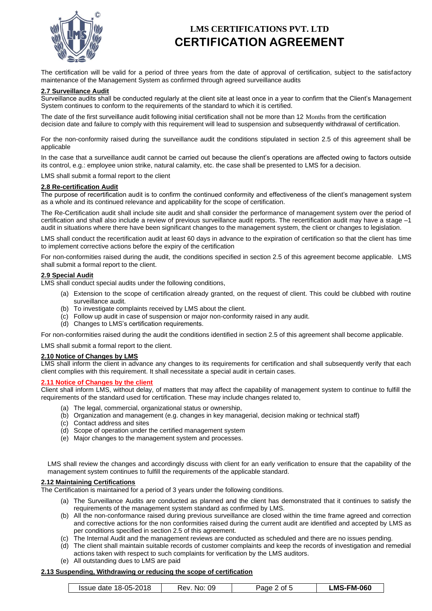

The certification will be valid for a period of three years from the date of approval of certification, subject to the satisfactory maintenance of the Management System as confirmed through agreed surveillance audits

#### **2.7 Surveillance Audit**

Surveillance audits shall be conducted regularly at the client site at least once in a year to confirm that the Client's Management System continues to conform to the requirements of the standard to which it is certified.

The date of the first surveillance audit following initial certification shall not be more than 12 Months from the certification decision date and failure to comply with this requirement will lead to suspension and subsequently withdrawal of certification.

For the non-conformity raised during the surveillance audit the conditions stipulated in section 2.5 of this agreement shall be applicable

In the case that a surveillance audit cannot be carried out because the client's operations are affected owing to factors outside its control, e.g.: employee union strike, natural calamity, etc. the case shall be presented to LMS for a decision.

LMS shall submit a formal report to the client

#### **2.8 Re-certification Audit**

The purpose of recertification audit is to confirm the continued conformity and effectiveness of the client's management system as a whole and its continued relevance and applicability for the scope of certification.

The Re-Certification audit shall include site audit and shall consider the performance of management system over the period of certification and shall also include a review of previous surveillance audit reports. The recertification audit may have a stage –1 audit in situations where there have been significant changes to the management system, the client or changes to legislation.

LMS shall conduct the recertification audit at least 60 days in advance to the expiration of certification so that the client has time to implement corrective actions before the expiry of the certification

For non-conformities raised during the audit, the conditions specified in section 2.5 of this agreement become applicable. LMS shall submit a formal report to the client.

#### **2.9 Special Audit**

LMS shall conduct special audits under the following conditions,

- (a) Extension to the scope of certification already granted, on the request of client. This could be clubbed with routine surveillance audit.
- (b) To investigate complaints received by LMS about the client.
- (c) Follow up audit in case of suspension or major non-conformity raised in any audit.
- (d) Changes to LMS's certification requirements.

For non-conformities raised during the audit the conditions identified in section 2.5 of this agreement shall become applicable.

LMS shall submit a formal report to the client.

### **2.10 Notice of Changes by LMS**

LMS shall inform the client in advance any changes to its requirements for certification and shall subsequently verify that each client complies with this requirement. It shall necessitate a special audit in certain cases.

#### **2.11 Notice of Changes by the client**

Client shall inform LMS, without delay, of matters that may affect the capability of management system to continue to fulfill the requirements of the standard used for certification. These may include changes related to,

- (a) The legal, commercial, organizational status or ownership,
- (b) Organization and management (e.g. changes in key managerial, decision making or technical staff)
- (c) Contact address and sites
- (d) Scope of operation under the certified management system
- (e) Major changes to the management system and processes.

LMS shall review the changes and accordingly discuss with client for an early verification to ensure that the capability of the management system continues to fulfill the requirements of the applicable standard.

#### **2.12 Maintaining Certifications**

The Certification is maintained for a period of 3 years under the following conditions.

- (a) The Surveillance Audits are conducted as planned and the client has demonstrated that it continues to satisfy the requirements of the management system standard as confirmed by LMS.
- (b) All the non-conformance raised during previous surveillance are closed within the time frame agreed and correction and corrective actions for the non conformities raised during the current audit are identified and accepted by LMS as per conditions specified in section 2.5 of this agreement.
- (c) The Internal Audit and the management reviews are conducted as scheduled and there are no issues pending.
- (d) The client shall maintain suitable records of customer complaints and keep the records of investigation and remedial actions taken with respect to such complaints for verification by the LMS auditors.
- (e) All outstanding dues to LMS are paid

#### **2.13 Suspending, Withdrawing or reducing the scope of certification**

| Issue date 18-05-2018 | 09<br>Rev.<br>No: | Page<br>ot 5 | <b>LMS-FM-060</b> |
|-----------------------|-------------------|--------------|-------------------|
|-----------------------|-------------------|--------------|-------------------|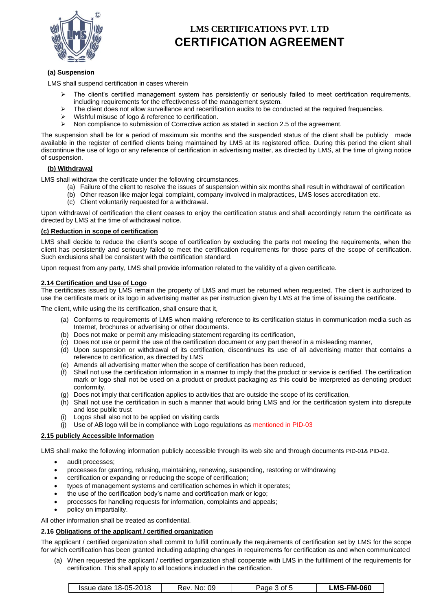

## **(a) Suspension**

LMS shall suspend certification in cases wherein

- The client's certified management system has persistently or seriously failed to meet certification requirements, including requirements for the effectiveness of the management system.
- $\triangleright$  The client does not allow surveillance and recertification audits to be conducted at the required frequencies.
- Wishful misuse of logo & reference to certification.
- ➢ Non compliance to submission of Corrective action as stated in section 2.5 of the agreement.

The suspension shall be for a period of maximum six months and the suspended status of the client shall be publicly made available in the register of certified clients being maintained by LMS at its registered office. During this period the client shall discontinue the use of logo or any reference of certification in advertising matter, as directed by LMS, at the time of giving notice of suspension.

### **(b) Withdrawal**

LMS shall withdraw the certificate under the following circumstances.

- (a) Failure of the client to resolve the issues of suspension within six months shall result in withdrawal of certification
- (b) Other reason like major legal complaint, company involved in malpractices, LMS loses accreditation etc.
- (c) Client voluntarily requested for a withdrawal.

Upon withdrawal of certification the client ceases to enjoy the certification status and shall accordingly return the certificate as directed by LMS at the time of withdrawal notice.

## **(c) Reduction in scope of certification**

LMS shall decide to reduce the client's scope of certification by excluding the parts not meeting the requirements, when the client has persistently and seriously failed to meet the certification requirements for those parts of the scope of certification. Such exclusions shall be consistent with the certification standard.

Upon request from any party, LMS shall provide information related to the validity of a given certificate.

#### **2.14 Certification and Use of Logo**

The certificates issued by LMS remain the property of LMS and must be returned when requested. The client is authorized to use the certificate mark or its logo in advertising matter as per instruction given by LMS at the time of issuing the certificate.

The client, while using the its certification, shall ensure that it,

- (a) Conforms to requirements of LMS when making reference to its certification status in communication media such as Internet, brochures or advertising or other documents.
- (b) Does not make or permit any misleading statement regarding its certification,
- (c) Does not use or permit the use of the certification document or any part thereof in a misleading manner,
- (d) Upon suspension or withdrawal of its certification, discontinues its use of all advertising matter that contains a reference to certification, as directed by LMS
- (e) Amends all advertising matter when the scope of certification has been reduced,
- (f) Shall not use the certification information in a manner to imply that the product or service is certified. The certification mark or logo shall not be used on a product or product packaging as this could be interpreted as denoting product conformity.
- (g) Does not imply that certification applies to activities that are outside the scope of its certification,
- (h) Shall not use the certification in such a manner that would bring LMS and /or the certification system into disrepute and lose public trust
- (i) Logos shall also not to be applied on visiting cards
- (j) Use of AB logo will be in compliance with Logo regulations as mentioned in PID-03

### **2.15 publicly Accessible Information**

LMS shall make the following information publicly accessible through its web site and through documents PID-01& PID-02.

- audit processes:
- processes for granting, refusing, maintaining, renewing, suspending, restoring or withdrawing
- certification or expanding or reducing the scope of certification;
- types of management systems and certification schemes in which it operates;
- the use of the certification body's name and certification mark or logo;
- processes for handling requests for information, complaints and appeals;
- policy on impartiality.

All other information shall be treated as confidential.

### **2.16 Obligations of the applicant / certified organization**

The applicant / certified organization shall commit to fulfill continually the requirements of certification set by LMS for the scope for which certification has been granted including adapting changes in requirements for certification as and when communicated

(a) When requested the applicant / certified organization shall cooperate with LMS in the fulfillment of the requirements for certification. This shall apply to all locations included in the certification.

| Issue date 18-05-2018 | No: 09<br>Чеv. | Page 3 of 5 | <b>LMS-FM-060</b> |
|-----------------------|----------------|-------------|-------------------|
|-----------------------|----------------|-------------|-------------------|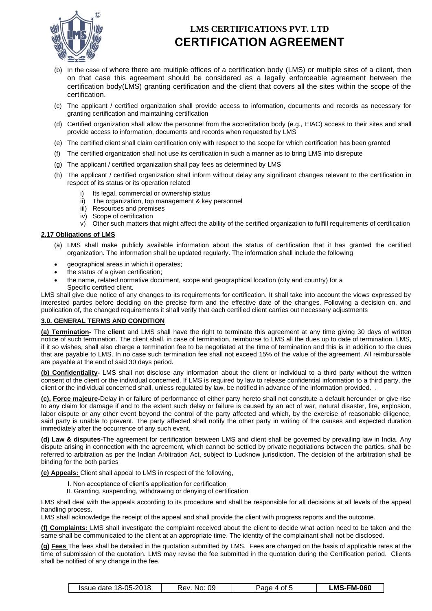

- (b) In the case of where there are multiple offices of a certification body (LMS) or multiple sites of a client, then on that case this agreement should be considered as a legally enforceable agreement between the certification body(LMS) granting certification and the client that covers all the sites within the scope of the certification.
- (c) The applicant / certified organization shall provide access to information, documents and records as necessary for granting certification and maintaining certification
- (d) Certified organization shall allow the personnel from the accreditation body (e.g., EIAC) access to their sites and shall provide access to information, documents and records when requested by LMS
- (e) The certified client shall claim certification only with respect to the scope for which certification has been granted
- (f) The certified organization shall not use its certification in such a manner as to bring LMS into disrepute
- (g) The applicant / certified organization shall pay fees as determined by LMS
- (h) The applicant / certified organization shall inform without delay any significant changes relevant to the certification in respect of its status or its operation related
	- i) Its legal, commercial or ownership status
	- ii) The organization, top management & key personnel
	- iii) Resources and premises
	- iv) Scope of certification
	- v) Other such matters that might affect the ability of the certified organization to fulfill requirements of certification

### **2.17 Obligations of LMS**

- (a) LMS shall make publicly available information about the status of certification that it has granted the certified organization. The information shall be updated regularly. The information shall include the following
- geographical areas in which it operates;
- the status of a given certification;
- the name, related normative document, scope and geographical location (city and country) for a Specific certified client.

LMS shall give due notice of any changes to its requirements for certification. It shall take into account the views expressed by interested parties before deciding on the precise form and the effective date of the changes. Following a decision on, and publication of, the changed requirements it shall verify that each certified client carries out necessary adjustments

### **3.0. GENERAL TERMS AND CONDITION**

**(a) Termination-** The **client** and LMS shall have the right to terminate this agreement at any time giving 30 days of written notice of such termination. The client shall, in case of termination, reimburse to LMS all the dues up to date of termination. LMS, if it so wishes, shall also charge a termination fee to be negotiated at the time of termination and this is in addition to the dues that are payable to LMS. In no case such termination fee shall not exceed 15% of the value of the agreement. All reimbursable are payable at the end of said 30 days period.

**(b) Confidentiality-** LMS shall not disclose any information about the client or individual to a third party without the written consent of the client or the individual concerned. If LMS is required by law to release confidential information to a third party, the client or the individual concerned shall, unless regulated by law, be notified in advance of the information provided. .

**(c). Force majeure-**Delay in or failure of performance of either party hereto shall not constitute a default hereunder or give rise to any claim for damage if and to the extent such delay or failure is caused by an act of war, natural disaster, fire, explosion, labor dispute or any other event beyond the control of the party affected and which, by the exercise of reasonable diligence, said party is unable to prevent. The party affected shall notify the other party in writing of the causes and expected duration immediately after the occurrence of any such event.

**(d) Law & disputes-**The agreement for certification between LMS and client shall be governed by prevailing law in India. Any dispute arising in connection with the agreement, which cannot be settled by private negotiations between the parties, shall be referred to arbitration as per the Indian Arbitration Act, subject to Lucknow jurisdiction. The decision of the arbitration shall be binding for the both parties

**(e) Appeals:** Client shall appeal to LMS in respect of the following,

- I. Non acceptance of client's application for certification
- II. Granting, suspending, withdrawing or denying of certification

LMS shall deal with the appeals according to its procedure and shall be responsible for all decisions at all levels of the appeal handling process.

LMS shall acknowledge the receipt of the appeal and shall provide the client with progress reports and the outcome.

**(f) Complaints:** LMS shall investigate the complaint received about the client to decide what action need to be taken and the same shall be communicated to the client at an appropriate time. The identity of the complainant shall not be disclosed.

**(g) Fees** The fees shall be detailed in the quotation submitted by LMS. Fees are charged on the basis of applicable rates at the time of submission of the quotation. LMS may revise the fee submitted in the quotation during the Certification period. Clients shall be notified of any change in the fee.

| Issue date 18-05-2018<br>09<br>No:<br>Rev | age 4 of 5 | ∟MS-FM-060 |
|-------------------------------------------|------------|------------|
|-------------------------------------------|------------|------------|